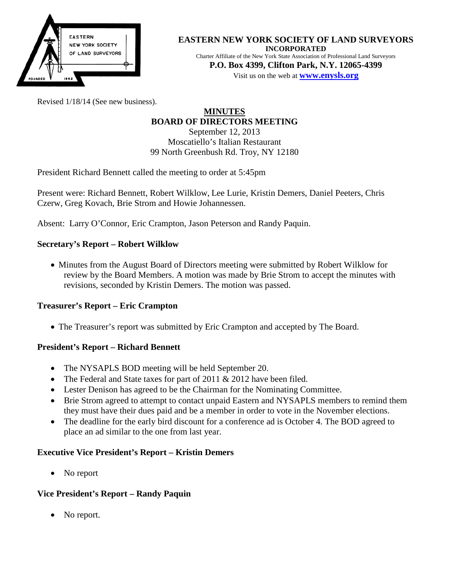

#### **EASTERN NEW YORK SOCIETY OF LAND SURVEYORS INCORPORATED**

Charter Affiliate of the New York State Association of Professional Land Surveyors **P.O. Box 4399, Clifton Park, N.Y. 12065-4399** Visit us on the web at **[www.e](http://www.enysls.org/)nysls.org**

Revised 1/18/14 (See new business).

#### **MINUTES BOARD OF DIRECTORS MEETING** September 12, 2013

Moscatiello's Italian Restaurant 99 North Greenbush Rd. Troy, NY 12180

President Richard Bennett called the meeting to order at 5:45pm

Present were: Richard Bennett, Robert Wilklow, Lee Lurie, Kristin Demers, Daniel Peeters, Chris Czerw, Greg Kovach, Brie Strom and Howie Johannessen.

Absent: Larry O'Connor, Eric Crampton, Jason Peterson and Randy Paquin.

# **Secretary's Report – Robert Wilklow**

• Minutes from the August Board of Directors meeting were submitted by Robert Wilklow for review by the Board Members. A motion was made by Brie Strom to accept the minutes with revisions, seconded by Kristin Demers. The motion was passed.

## **Treasurer's Report – Eric Crampton**

• The Treasurer's report was submitted by Eric Crampton and accepted by The Board.

## **President's Report – Richard Bennett**

- The NYSAPLS BOD meeting will be held September 20.
- The Federal and State taxes for part of 2011 & 2012 have been filed.
- Lester Denison has agreed to be the Chairman for the Nominating Committee.
- Brie Strom agreed to attempt to contact unpaid Eastern and NYSAPLS members to remind them they must have their dues paid and be a member in order to vote in the November elections.
- The deadline for the early bird discount for a conference ad is October 4. The BOD agreed to place an ad similar to the one from last year.

## **Executive Vice President's Report – Kristin Demers**

• No report

## **Vice President's Report – Randy Paquin**

No report.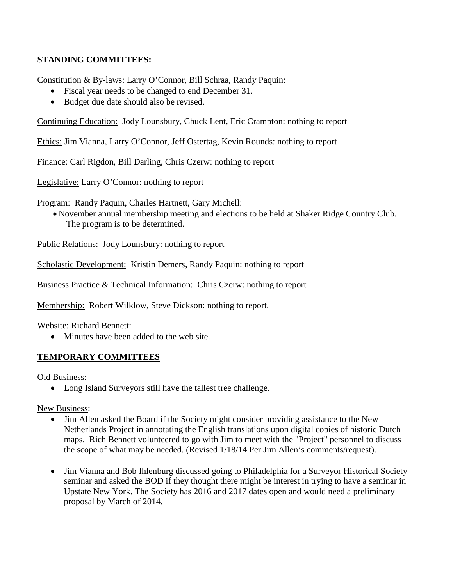# **STANDING COMMITTEES:**

Constitution & By-laws: Larry O'Connor, Bill Schraa, Randy Paquin:

- Fiscal year needs to be changed to end December 31.
- Budget due date should also be revised.

Continuing Education: Jody Lounsbury, Chuck Lent, Eric Crampton: nothing to report

Ethics: Jim Vianna, Larry O'Connor, Jeff Ostertag, Kevin Rounds: nothing to report

Finance: Carl Rigdon, Bill Darling, Chris Czerw: nothing to report

Legislative: Larry O'Connor: nothing to report

Program: Randy Paquin, Charles Hartnett, Gary Michell:

• November annual membership meeting and elections to be held at Shaker Ridge Country Club. The program is to be determined.

Public Relations: Jody Lounsbury: nothing to report

Scholastic Development: Kristin Demers, Randy Paquin: nothing to report

Business Practice & Technical Information: Chris Czerw: nothing to report

Membership: Robert Wilklow, Steve Dickson: nothing to report.

Website: Richard Bennett:

• Minutes have been added to the web site.

## **TEMPORARY COMMITTEES**

Old Business:

• Long Island Surveyors still have the tallest tree challenge.

New Business:

- Jim Allen asked the Board if the Society might consider providing assistance to the New Netherlands Project in annotating the English translations upon digital copies of historic Dutch maps. Rich Bennett volunteered to go with Jim to meet with the "Project" personnel to discuss the scope of what may be needed. (Revised 1/18/14 Per Jim Allen's comments/request).
- Jim Vianna and Bob Ihlenburg discussed going to Philadelphia for a Surveyor Historical Society seminar and asked the BOD if they thought there might be interest in trying to have a seminar in Upstate New York. The Society has 2016 and 2017 dates open and would need a preliminary proposal by March of 2014.